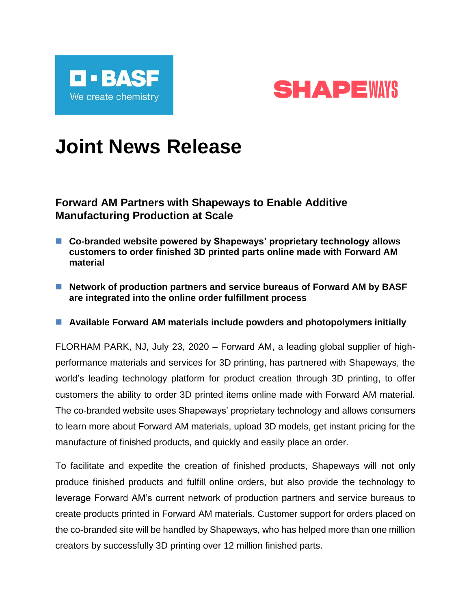



## **Joint News Release**

**Forward AM Partners with Shapeways to Enable Additive Manufacturing Production at Scale**

- Co-branded website powered by Shapeways' proprietary technology allows **customers to order finished 3D printed parts online made with Forward AM material**
- Network of production partners and service bureaus of Forward AM by BASF **are integrated into the online order fulfillment process**

■ Available Forward AM materials include powders and photopolymers initially

FLORHAM PARK, NJ, July 23, 2020 – Forward AM, a leading global supplier of highperformance materials and services for 3D printing, has partnered with Shapeways, the world's leading technology platform for product creation through 3D printing, to offer customers the ability to order 3D printed items online made with Forward AM material. The co-branded website uses Shapeways' proprietary technology and allows consumers to learn more about Forward AM materials, upload 3D models, get instant pricing for the manufacture of finished products, and quickly and easily place an order.

To facilitate and expedite the creation of finished products, Shapeways will not only produce finished products and fulfill online orders, but also provide the technology to leverage Forward AM's current network of production partners and service bureaus to create products printed in Forward AM materials. Customer support for orders placed on the co-branded site will be handled by Shapeways, who has helped more than one million creators by successfully 3D printing over 12 million finished parts.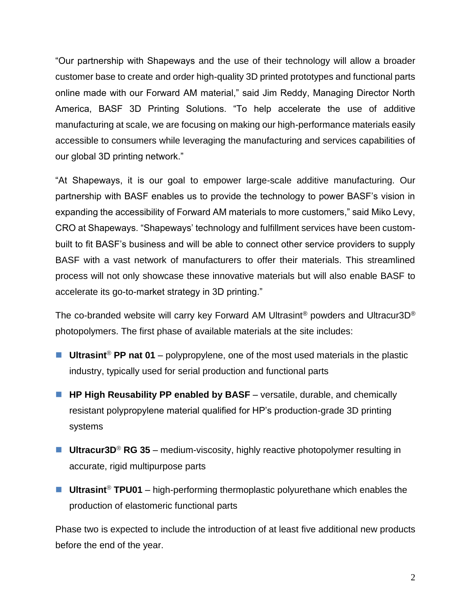"Our partnership with Shapeways and the use of their technology will allow a broader customer base to create and order high-quality 3D printed prototypes and functional parts online made with our Forward AM material," said Jim Reddy, Managing Director North America, BASF 3D Printing Solutions. "To help accelerate the use of additive manufacturing at scale, we are focusing on making our high-performance materials easily accessible to consumers while leveraging the manufacturing and services capabilities of our global 3D printing network."

"At Shapeways, it is our goal to empower large-scale additive manufacturing. Our partnership with BASF enables us to provide the technology to power BASF's vision in expanding the accessibility of Forward AM materials to more customers," said Miko Levy, CRO at Shapeways. "Shapeways' technology and fulfillment services have been custombuilt to fit BASF's business and will be able to connect other service providers to supply BASF with a vast network of manufacturers to offer their materials. This streamlined process will not only showcase these innovative materials but will also enable BASF to accelerate its go-to-market strategy in 3D printing."

The co-branded website will carry key Forward AM Ultrasint® powders and Ultracur3D® photopolymers. The first phase of available materials at the site includes:

- Ultrasint<sup>®</sup> PP nat 01 polypropylene, one of the most used materials in the plastic industry, typically used for serial production and functional parts
- HP High Reusability PP enabled by BASF versatile, durable, and chemically resistant polypropylene material qualified for HP's production-grade 3D printing systems
- Ultracur3D<sup>®</sup> RG 35 medium-viscosity, highly reactive photopolymer resulting in accurate, rigid multipurpose parts
- Ultrasint<sup>®</sup> TPU01 high-performing thermoplastic polyurethane which enables the production of elastomeric functional parts

Phase two is expected to include the introduction of at least five additional new products before the end of the year.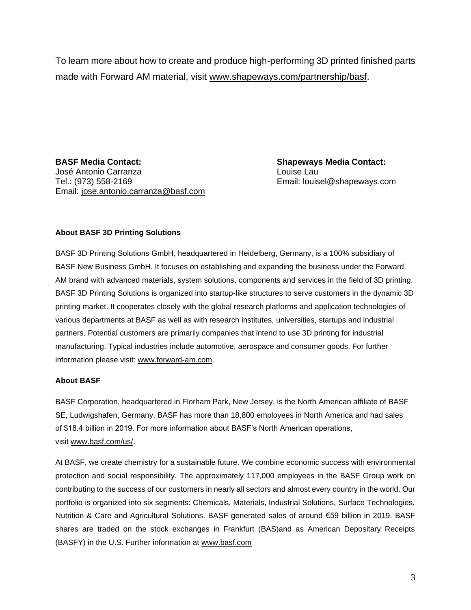To learn more about how to create and produce high-performing 3D printed finished parts made with Forward AM material, visit [www.shapeways.com/partnership/basf.](https://www.shapeways.com/partnership/basf?utm_source=basf&utm_medium=pr&utm_campaign=sw-basf)

**BASF Media Contact: Shapeways Media Contact:** José Antonio Carranza Louise Lau Tel.: (973) 558-2169 Email: louisel@shapeways.com Email: [jose.antonio.carranza@basf.com](mailto:jose.antonio.carranza@basf.com)

## **About BASF 3D Printing Solutions**

BASF 3D Printing Solutions GmbH, headquartered in Heidelberg, Germany, is a 100% subsidiary of BASF New Business GmbH. It focuses on establishing and expanding the business under the Forward AM brand with advanced materials, system solutions, components and services in the field of 3D printing. BASF 3D Printing Solutions is organized into startup-like structures to serve customers in the dynamic 3D printing market. It cooperates closely with the global research platforms and application technologies of various departments at BASF as well as with research institutes, universities, startups and industrial partners. Potential customers are primarily companies that intend to use 3D printing for industrial manufacturing. Typical industries include automotive, aerospace and consumer goods. For further information please visit: [www.forward-am.com.](http://www.forward-am.com/)

## **About BASF**

BASF Corporation, headquartered in Florham Park, New Jersey, is the North American affiliate of BASF SE, Ludwigshafen, Germany. BASF has more than 18,800 employees in North America and had sales of \$18.4 billion in 2019. For more information about BASF's North American operations, visit [www.basf.com/us/.](http://www.basf.com/us/)

At BASF, we create chemistry for a sustainable future. We combine economic success with environmental protection and social responsibility. The approximately 117,000 employees in the BASF Group work on contributing to the success of our customers in nearly all sectors and almost every country in the world. Our portfolio is organized into six segments: Chemicals, Materials, Industrial Solutions, Surface Technologies, Nutrition & Care and Agricultural Solutions. BASF generated sales of around €59 billion in 2019. BASF shares are traded on the stock exchanges in Frankfurt (BAS)and as American Depositary Receipts (BASFY) in the U.S. Further information at [www.basf.com](http://www.basf.com/)